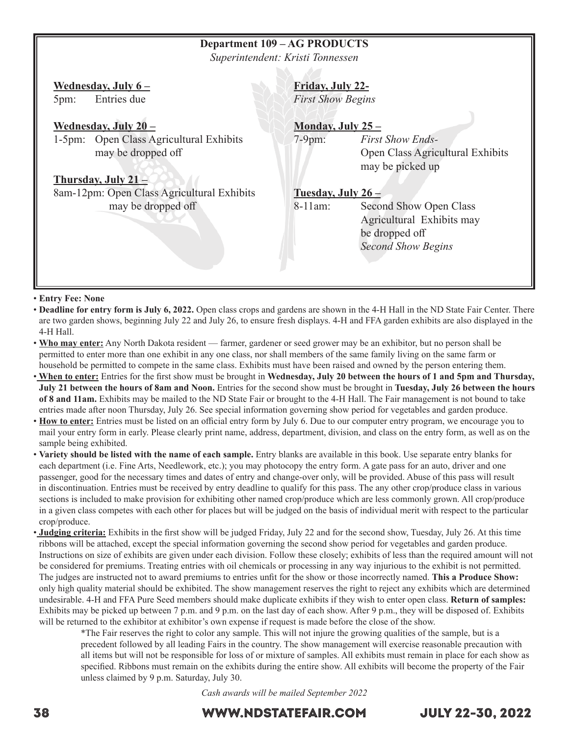## **Department 109 – AG PRODUCTS**

*Superintendent: Kristi Tonnessen*

#### **Wednesday, July 6 –**

5pm: Entries due

#### **Wednesday, July 20 –**

1-5pm: Open Class Agricultural Exhibits may be dropped off

#### **Thursday, July 21 –**

8am-12pm: Open Class Agricultural Exhibits may be dropped off

#### **Friday, July 22-**

*First Show Begins*

### **Monday, July 25 –**

7-9pm: *First Show Ends-*  Open Class Agricultural Exhibits may be picked up

### **Tuesday, July 26 –**

8-11am: Second Show Open Class Agricultural Exhibits may be dropped off  *Second Show Begins*

#### • **Entry Fee: None**

- **Deadline for entry form is July 6, 2022.** Open class crops and gardens are shown in the 4-H Hall in the ND State Fair Center. There are two garden shows, beginning July 22 and July 26, to ensure fresh displays. 4-H and FFA garden exhibits are also displayed in the 4-H Hall.
- **Who may enter:** Any North Dakota resident farmer, gardener or seed grower may be an exhibitor, but no person shall be permitted to enter more than one exhibit in any one class, nor shall members of the same family living on the same farm or household be permitted to compete in the same class. Exhibits must have been raised and owned by the person entering them.
- • **When to enter:** Entries for the first show must be brought in **Wednesday, July 20 between the hours of 1 and 5pm and Thursday, July 21 between the hours of 8am and Noon.** Entries for the second show must be brought in **Tuesday, July 26 between the hours of 8 and 11am.** Exhibits may be mailed to the ND State Fair or brought to the 4-H Hall. The Fair management is not bound to take entries made after noon Thursday, July 26. See special information governing show period for vegetables and garden produce.
- **How to enter:** Entries must be listed on an official entry form by July 6. Due to our computer entry program, we encourage you to mail your entry form in early. Please clearly print name, address, department, division, and class on the entry form, as well as on the sample being exhibited.
- **Variety should be listed with the name of each sample.** Entry blanks are available in this book. Use separate entry blanks for each department (i.e. Fine Arts, Needlework, etc.); you may photocopy the entry form. A gate pass for an auto, driver and one passenger, good for the necessary times and dates of entry and change-over only, will be provided. Abuse of this pass will result in discontinuation. Entries must be received by entry deadline to qualify for this pass. The any other crop/produce class in various sections is included to make provision for exhibiting other named crop/produce which are less commonly grown. All crop/produce in a given class competes with each other for places but will be judged on the basis of individual merit with respect to the particular crop/produce.
- • **Judging criteria:** Exhibits in the first show will be judged Friday, July 22 and for the second show, Tuesday, July 26. At this time ribbons will be attached, except the special information governing the second show period for vegetables and garden produce. Instructions on size of exhibits are given under each division. Follow these closely; exhibits of less than the required amount will not be considered for premiums. Treating entries with oil chemicals or processing in any way injurious to the exhibit is not permitted. The judges are instructed not to award premiums to entries unfit for the show or those incorrectly named. **This a Produce Show:**  only high quality material should be exhibited. The show management reserves the right to reject any exhibits which are determined undesirable. 4-H and FFA Pure Seed members should make duplicate exhibits if they wish to enter open class. **Return of samples:**  Exhibits may be picked up between 7 p.m. and 9 p.m. on the last day of each show. After 9 p.m., they will be disposed of. Exhibits will be returned to the exhibitor at exhibitor's own expense if request is made before the close of the show.

\*The Fair reserves the right to color any sample. This will not injure the growing qualities of the sample, but is a precedent followed by all leading Fairs in the country. The show management will exercise reasonable precaution with all items but will not be responsible for loss of or mixture of samples. All exhibits must remain in place for each show as specified. Ribbons must remain on the exhibits during the entire show. All exhibits will become the property of the Fair unless claimed by 9 p.m. Saturday, July 30.

*Cash awards will be mailed September 2022*

## 38 WWW.NDSTATEFAIR.COM JULY 22-30, 2022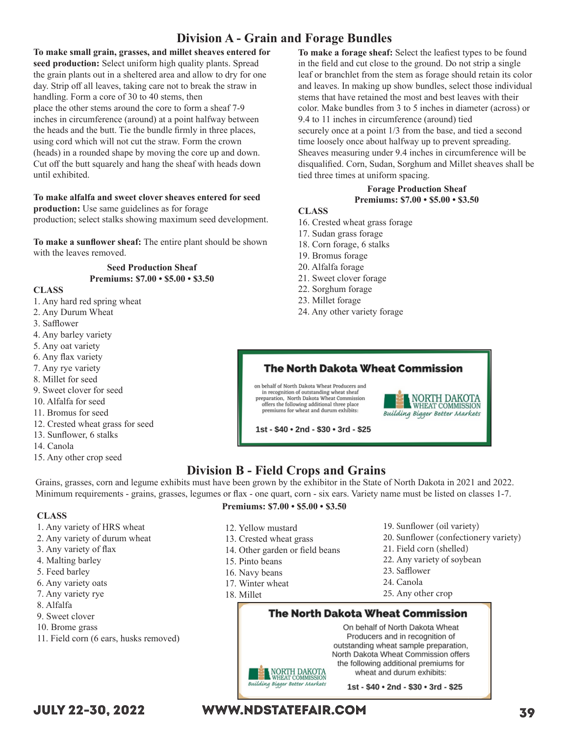## **Division A - Grain and Forage Bundles**

**To make small grain, grasses, and millet sheaves entered for seed production:** Select uniform high quality plants. Spread the grain plants out in a sheltered area and allow to dry for one day. Strip off all leaves, taking care not to break the straw in handling. Form a core of 30 to 40 stems, then place the other stems around the core to form a sheaf 7-9 inches in circumference (around) at a point halfway between the heads and the butt. Tie the bundle firmly in three places, using cord which will not cut the straw. Form the crown (heads) in a rounded shape by moving the core up and down. Cut off the butt squarely and hang the sheaf with heads down until exhibited.

## **To make alfalfa and sweet clover sheaves entered for seed**

**production:** Use same guidelines as for forage production; select stalks showing maximum seed development.

**To make a sunflower sheaf:** The entire plant should be shown with the leaves removed.

#### **Seed Production Sheaf Premiums: \$7.00 • \$5.00 • \$3.50**

#### **CLASS**

- 1. Any hard red spring wheat
- 2. Any Durum Wheat
- 3. Safflower
- 4. Any barley variety
- 5. Any oat variety
- 6. Any flax variety
- 7. Any rye variety
- 8. Millet for seed
- 9. Sweet clover for seed
- 10. Alfalfa for seed
- 11. Bromus for seed
- 12. Crested wheat grass for seed

1. Any variety of HRS wheat 2. Any variety of durum wheat

3. Any variety of flax 4. Malting barley 5. Feed barley 6. Any variety oats 7. Any variety rye

- 13. Sunflower, 6 stalks
- 14. Canola

**CLASS**

8. Alfalfa 9. Sweet clover 10. Brome grass

15. Any other crop seed

offers the following additional three place<br>premiums for wheat and durum exhibits:

**To make a forage sheaf:** Select the leafiest types to be found in the field and cut close to the ground. Do not strip a single leaf or branchlet from the stem as forage should retain its color and leaves. In making up show bundles, select those individual stems that have retained the most and best leaves with their color. Make bundles from 3 to 5 inches in diameter (across) or 9.4 to 11 inches in circumference (around) tied securely once at a point  $1/3$  from the base, and tied a second time loosely once about halfway up to prevent spreading. Sheaves measuring under 9.4 inches in circumference will be disqualified. Corn, Sudan, Sorghum and Millet sheaves shall be tied three times at uniform spacing.

#### **Forage Production Sheaf Premiums: \$7.00 • \$5.00 • \$3.50**

#### **CLASS**

- 16. Crested wheat grass forage
- 17. Sudan grass forage
- 18. Corn forage, 6 stalks
- 19. Bromus forage
- 20. Alfalfa forage
- 21. Sweet clover forage
- 22. Sorghum forage
- 23. Millet forage
- 24. Any other variety forage

### **The North Dakota Wheat Commission**

on behalf of North Dakota Wheat Producers and in recognition of outstanding wheat sheaf<br>preparation, North Dakota Wheat Commission



1st - \$40 · 2nd - \$30 · 3rd - \$25

## **Division B - Field Crops and Grains**

Grains, grasses, corn and legume exhibits must have been grown by the exhibitor in the State of North Dakota in 2021 and 2022. Minimum requirements - grains, grasses, legumes or flax - one quart, corn - six ears. Variety name must be listed on classes 1-7.

#### **Premiums: \$7.00 • \$5.00 • \$3.50**

- 12. Yellow mustard
- 13. Crested wheat grass
- 14. Other garden or field beans
- 15. Pinto beans
- 16. Navy beans
- 17. Winter wheat
- 18. Millet
- 19. Sunflower (oil variety)
- 20. Sunflower (confectionery variety)
- 21. Field corn (shelled)
- 22. Any variety of soybean
- 23. Safflower
- 24. Canola
- 25. Any other crop

## **The North Dakota Wheat Commission**

On behalf of North Dakota Wheat Producers and in recognition of outstanding wheat sample preparation, North Dakota Wheat Commission offers the following additional premiums for wheat and durum exhibits:

1st - \$40 . 2nd - \$30 . 3rd - \$25

11. Field corn (6 ears, husks removed)

## JULY 22-30, 2022 WWW.NDSTATEFAIR.COM 39

Building Bigger Better Markets

NORTH DAKOTA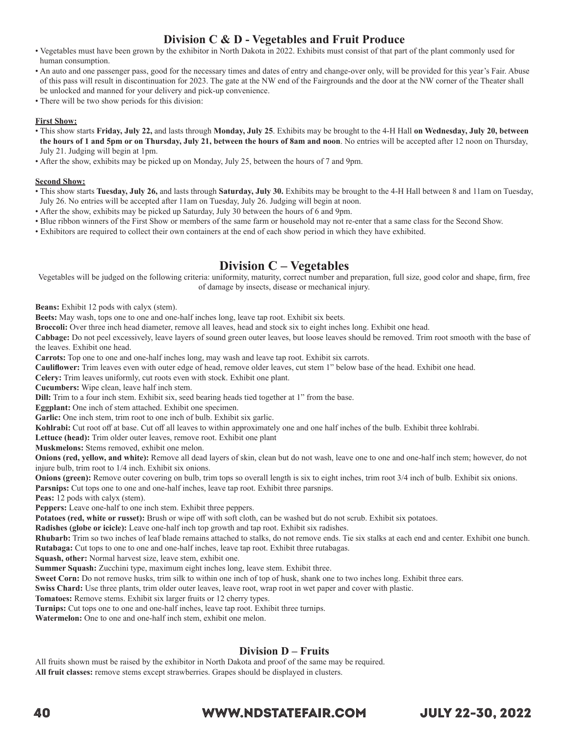## **Division C & D - Vegetables and Fruit Produce**

- Vegetables must have been grown by the exhibitor in North Dakota in 2022. Exhibits must consist of that part of the plant commonly used for human consumption.
- An auto and one passenger pass, good for the necessary times and dates of entry and change-over only, will be provided for this year's Fair. Abuse of this pass will result in discontinuation for 2023. The gate at the NW end of the Fairgrounds and the door at the NW corner of the Theater shall be unlocked and manned for your delivery and pick-up convenience.
- There will be two show periods for this division:

#### **First Show:**

- This show starts **Friday, July 22,** and lasts through **Monday, July 25**. Exhibits may be brought to the 4-H Hall **on Wednesday, July 20, between the hours of 1 and 5pm or on Thursday, July 21, between the hours of 8am and noon**. No entries will be accepted after 12 noon on Thursday, July 21. Judging will begin at 1pm.
- After the show, exhibits may be picked up on Monday, July 25, between the hours of 7 and 9pm.

#### **Second Show:**

- This show starts **Tuesday, July 26,** and lasts through **Saturday, July 30.** Exhibits may be brought to the 4-H Hall between 8 and 11am on Tuesday, July 26. No entries will be accepted after 11am on Tuesday, July 26. Judging will begin at noon.
- After the show, exhibits may be picked up Saturday, July 30 between the hours of 6 and 9pm.
- Blue ribbon winners of the First Show or members of the same farm or household may not re-enter that a same class for the Second Show.
- Exhibitors are required to collect their own containers at the end of each show period in which they have exhibited.

## **Division C – Vegetables**

Vegetables will be judged on the following criteria: uniformity, maturity, correct number and preparation, full size, good color and shape, firm, free of damage by insects, disease or mechanical injury.

**Beans:** Exhibit 12 pods with calyx (stem).

**Beets:** May wash, tops one to one and one-half inches long, leave tap root. Exhibit six beets.

**Broccoli:** Over three inch head diameter, remove all leaves, head and stock six to eight inches long. Exhibit one head.

**Cabbage:** Do not peel excessively, leave layers of sound green outer leaves, but loose leaves should be removed. Trim root smooth with the base of the leaves. Exhibit one head.

**Carrots:** Top one to one and one-half inches long, may wash and leave tap root. Exhibit six carrots.

**Cauliflower:** Trim leaves even with outer edge of head, remove older leaves, cut stem 1" below base of the head. Exhibit one head.

**Celery:** Trim leaves uniformly, cut roots even with stock. Exhibit one plant.

**Cucumbers:** Wipe clean, leave half inch stem.

**Dill:** Trim to a four inch stem. Exhibit six, seed bearing heads tied together at 1" from the base.

**Eggplant:** One inch of stem attached. Exhibit one specimen.

**Garlic:** One inch stem, trim root to one inch of bulb. Exhibit six garlic.

**Kohlrabi:** Cut root off at base. Cut off all leaves to within approximately one and one half inches of the bulb. Exhibit three kohlrabi.

**Lettuce (head):** Trim older outer leaves, remove root. Exhibit one plant

**Muskmelons:** Stems removed, exhibit one melon.

**Onions (red, yellow, and white):** Remove all dead layers of skin, clean but do not wash, leave one to one and one-half inch stem; however, do not injure bulb, trim root to 1/4 inch. Exhibit six onions.

**Onions (green):** Remove outer covering on bulb, trim tops so overall length is six to eight inches, trim root 3/4 inch of bulb. Exhibit six onions. **Parsnips:** Cut tops one to one and one-half inches, leave tap root. Exhibit three parsnips.

**Peas:** 12 pods with calyx (stem).

**Peppers:** Leave one-half to one inch stem. Exhibit three peppers.

**Potatoes (red, white or russet):** Brush or wipe off with soft cloth, can be washed but do not scrub. Exhibit six potatoes.

**Radishes (globe or icicle):** Leave one-half inch top growth and tap root. Exhibit six radishes.

**Rhubarb:** Trim so two inches of leaf blade remains attached to stalks, do not remove ends. Tie six stalks at each end and center. Exhibit one bunch. **Rutabaga:** Cut tops to one to one and one-half inches, leave tap root. Exhibit three rutabagas.

**Squash, other:** Normal harvest size, leave stem, exhibit one.

**Summer Squash:** Zucchini type, maximum eight inches long, leave stem. Exhibit three.

**Sweet Corn:** Do not remove husks, trim silk to within one inch of top of husk, shank one to two inches long. Exhibit three ears.

**Swiss Chard:** Use three plants, trim older outer leaves, leave root, wrap root in wet paper and cover with plastic.

**Tomatoes:** Remove stems. Exhibit six larger fruits or 12 cherry types.

**Turnips:** Cut tops one to one and one-half inches, leave tap root. Exhibit three turnips.

**Watermelon:** One to one and one-half inch stem, exhibit one melon.

#### **Division D – Fruits**

All fruits shown must be raised by the exhibitor in North Dakota and proof of the same may be required. **All fruit classes:** remove stems except strawberries. Grapes should be displayed in clusters.

## 40 WWW.NDSTATEFAIR.COM JULY 22-30, 2022